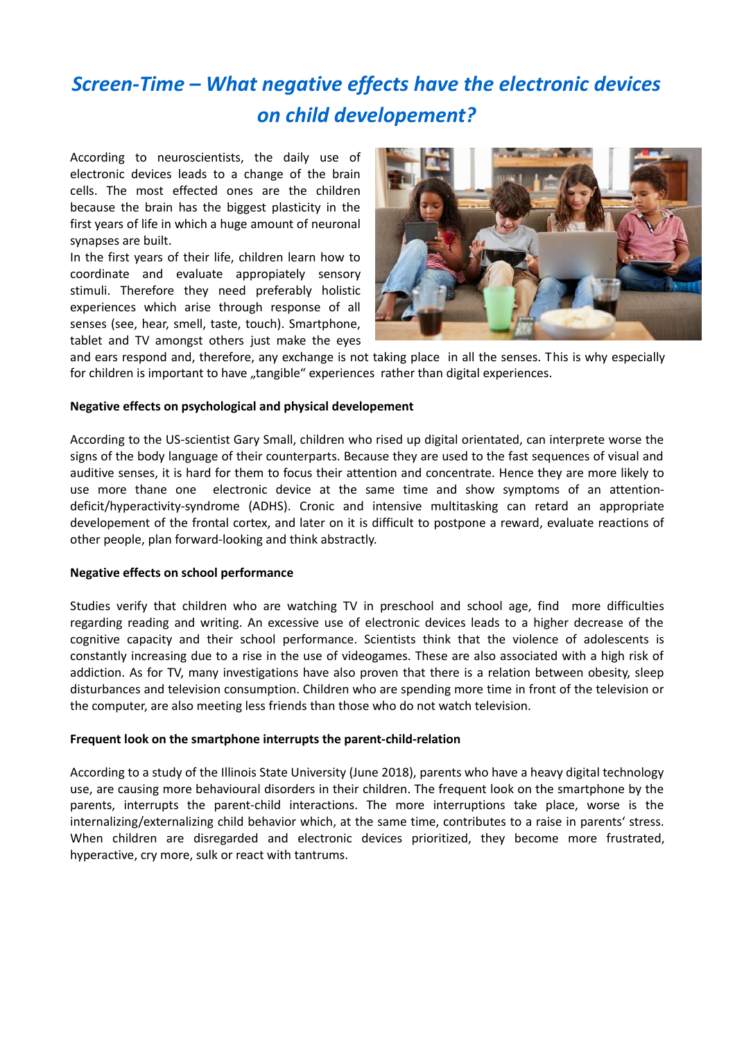# *Screen-Time – What negative effects have the electronic devices on child developement?*

According to neuroscientists, the daily use of electronic devices leads to a change of the brain cells. The most effected ones are the children because the brain has the biggest plasticity in the first years of life in which a huge amount of neuronal synapses are built.

In the first years of their life, children learn how to coordinate and evaluate appropiately sensory stimuli. Therefore they need preferably holistic experiences which arise through response of all senses (see, hear, smell, taste, touch). Smartphone, tablet and TV amongst others just make the eyes



and ears respond and, therefore, any exchange is not taking place in all the senses. This is why especially for children is important to have "tangible" experiences rather than digital experiences.

#### **Negative effects on psychological and physical developement**

According to the US-scientist Gary Small, children who rised up digital orientated, can interprete worse the signs of the body language of their counterparts. Because they are used to the fast sequences of visual and auditive senses, it is hard for them to focus their attention and concentrate. Hence they are more likely to use more thane one electronic device at the same time and show symptoms of an attentiondeficit/hyperactivity-syndrome (ADHS). Cronic and intensive multitasking can retard an appropriate developement of the frontal cortex, and later on it is difficult to postpone a reward, evaluate reactions of other people, plan forward-looking and think abstractly.

#### **Negative effects on school performance**

Studies verify that children who are watching TV in preschool and school age, find more difficulties regarding reading and writing. An excessive use of electronic devices leads to a higher decrease of the cognitive capacity and their school performance. Scientists think that the violence of adolescents is constantly increasing due to a rise in the use of videogames. These are also associated with a high risk of addiction. As for TV, many investigations have also proven that there is a relation between obesity, sleep disturbances and television consumption. Children who are spending more time in front of the television or the computer, are also meeting less friends than those who do not watch television.

### **Frequent look on the smartphone interrupts the parent-child-relation**

According to a study of the Illinois State University (June 2018), parents who have a heavy digital technology use, are causing more behavioural disorders in their children. The frequent look on the smartphone by the parents, interrupts the parent-child interactions. The more interruptions take place, worse is the internalizing/externalizing child behavior which, at the same time, contributes to a raise in parents' stress. When children are disregarded and electronic devices prioritized, they become more frustrated, hyperactive, cry more, sulk or react with tantrums.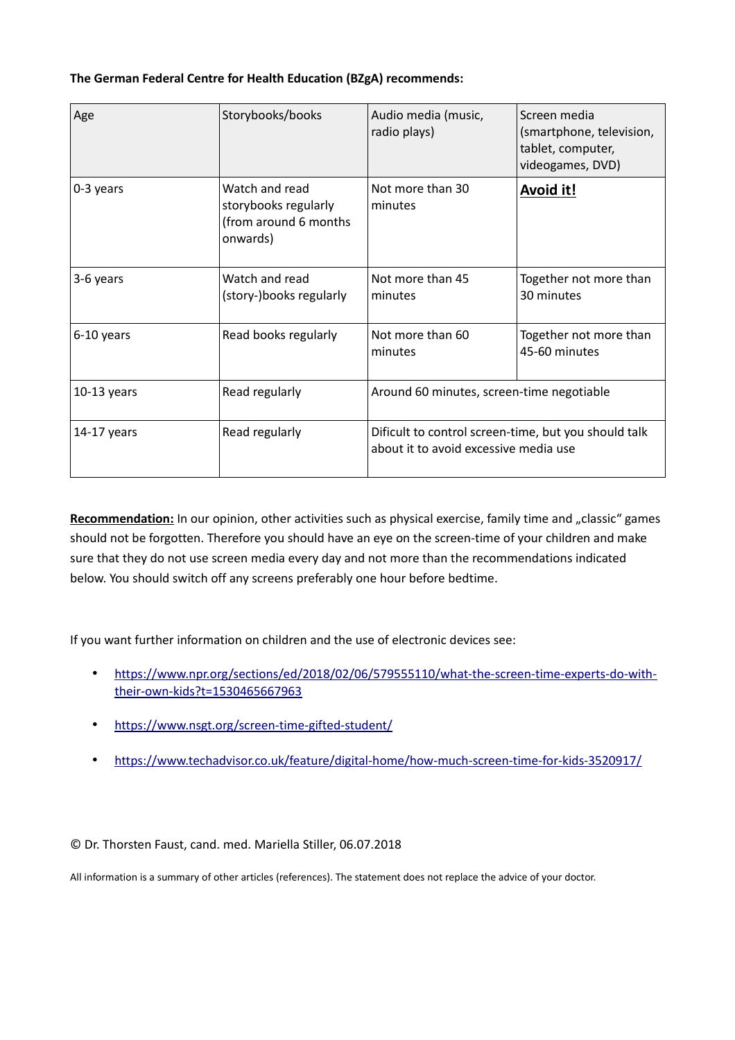## **The German Federal Centre for Health Education (BZgA) recommends:**

| Age           | Storybooks/books                                                            | Audio media (music,<br>radio plays)                                                           | Screen media<br>(smartphone, television,<br>tablet, computer,<br>videogames, DVD) |
|---------------|-----------------------------------------------------------------------------|-----------------------------------------------------------------------------------------------|-----------------------------------------------------------------------------------|
| 0-3 years     | Watch and read<br>storybooks regularly<br>(from around 6 months<br>onwards) | Not more than 30<br>minutes                                                                   | <b>Avoid it!</b>                                                                  |
| 3-6 years     | Watch and read<br>(story-)books regularly                                   | Not more than 45<br>minutes                                                                   | Together not more than<br>30 minutes                                              |
| 6-10 years    | Read books regularly                                                        | Not more than 60<br>minutes                                                                   | Together not more than<br>45-60 minutes                                           |
| $10-13$ years | Read regularly                                                              | Around 60 minutes, screen-time negotiable                                                     |                                                                                   |
| 14-17 years   | Read regularly                                                              | Dificult to control screen-time, but you should talk<br>about it to avoid excessive media use |                                                                                   |

Recommendation: In our opinion, other activities such as physical exercise, family time and "classic" games should not be forgotten. Therefore you should have an eye on the screen-time of your children and make sure that they do not use screen media every day and not more than the recommendations indicated below. You should switch off any screens preferably one hour before bedtime.

If you want further information on children and the use of electronic devices see:

- [https://www.npr.org/sections/ed/2018/02/06/579555110/what-the-screen-time-experts-do-with](https://www.npr.org/sections/ed/2018/02/06/579555110/what-the-screen-time-experts-do-with-their-own-kids?t=1530465667963)[their-own-kids?t=1530465667963](https://www.npr.org/sections/ed/2018/02/06/579555110/what-the-screen-time-experts-do-with-their-own-kids?t=1530465667963)
- <https://www.nsgt.org/screen-time-gifted-student/>
- <https://www.techadvisor.co.uk/feature/digital-home/how-much-screen-time-for-kids-3520917/>

© Dr. Thorsten Faust, cand. med. Mariella Stiller, 06.07.2018

All information is a summary of other articles (references). The statement does not replace the advice of your doctor.